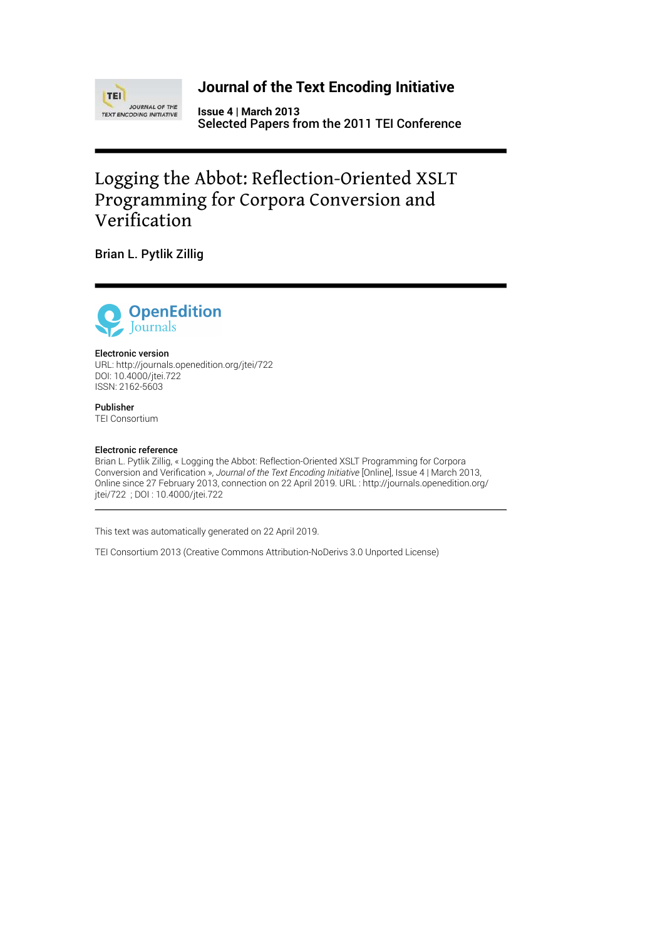

## **Journal of the Text Encoding Initiative**

**Issue 4 | March 2013** Selected Papers from the 2011 TEI Conference

# Logging the Abbot: Reflection-Oriented XSLT Programming for Corpora Conversion and Verification

Brian L. Pytlik Zillig



#### Electronic version

URL:<http://journals.openedition.org/jtei/722> DOI: 10.4000/jtei.722 ISSN: 2162-5603

Publisher TEI Consortium

#### Electronic reference

Brian L. Pytlik Zillig, « Logging the Abbot: Reflection-Oriented XSLT Programming for Corpora Conversion and Verification », *Journal of the Text Encoding Initiative* [Online], Issue 4 | March 2013, Online since 27 February 2013, connection on 22 April 2019. URL : http://journals.openedition.org/ jtei/722 ; DOI : 10.4000/jtei.722

This text was automatically generated on 22 April 2019.

TEI Consortium 2013 (Creative Commons Attribution-NoDerivs 3.0 Unported License)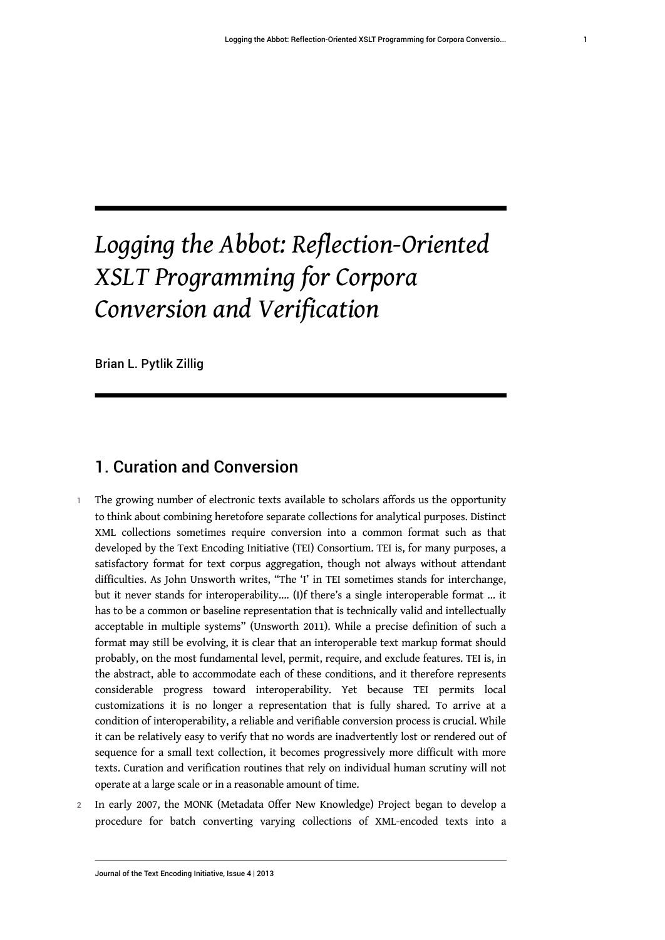# *Logging the Abbot: Reflection-Oriented XSLT Programming for Corpora Conversion and Verification*

Brian L. Pytlik Zillig

# 1. Curation and Conversion

- The growing number of electronic texts available to scholars affords us the opportunity to think about combining heretofore separate collections for analytical purposes. Distinct XML collections sometimes require conversion into a common format such as that developed by the Text Encoding Initiative (TEI) Consortium. TEI is, for many purposes, a satisfactory format for text corpus aggregation, though not always without attendant difficulties. As John Unsworth writes, "The 'I' in TEI sometimes stands for interchange, but it never stands for interoperability…. (I)f there's a single interoperable format … it has to be a common or baseline representation that is technically valid and intellectually acceptable in multiple systems" (Unsworth 2011). While a precise definition of such a format may still be evolving, it is clear that an interoperable text markup format should probably, on the most fundamental level, permit, require, and exclude features. TEI is, in the abstract, able to accommodate each of these conditions, and it therefore represents considerable progress toward interoperability. Yet because TEI permits local customizations it is no longer a representation that is fully shared. To arrive at a condition of interoperability, a reliable and verifiable conversion process is crucial. While it can be relatively easy to verify that no words are inadvertently lost or rendered out of sequence for a small text collection, it becomes progressively more difficult with more texts. Curation and verification routines that rely on individual human scrutiny will not operate at a large scale or in a reasonable amount of time.
- 2 In early 2007, the MONK (Metadata Offer New Knowledge) Project began to develop a procedure for batch converting varying collections of XML-encoded texts into a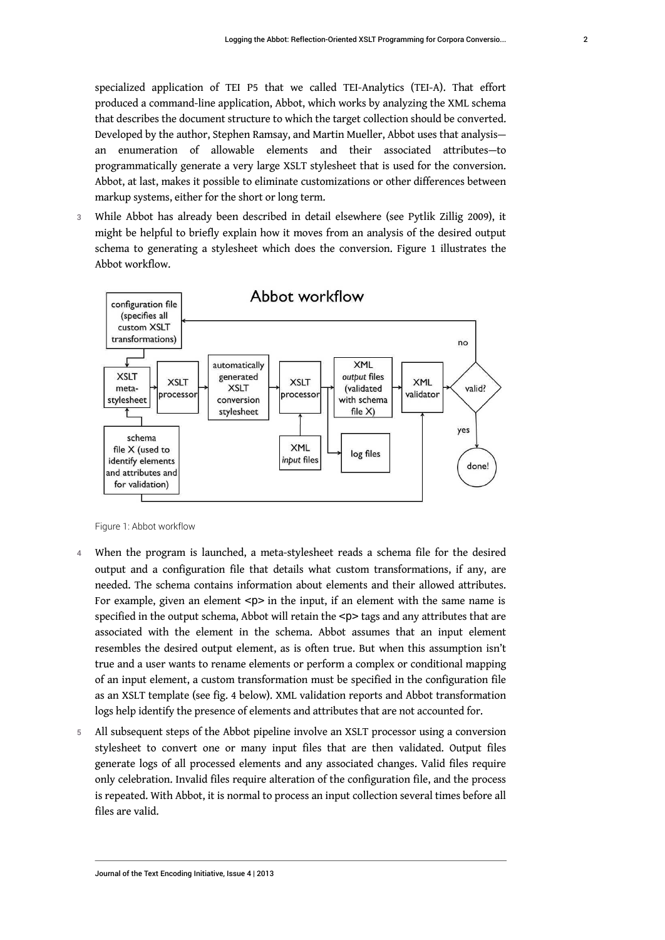specialized application of TEI P5 that we called TEI-Analytics (TEI-A). That effort produced a command-line application, Abbot, which works by analyzing the XML schema that describes the document structure to which the target collection should be converted. Developed by the author, Stephen Ramsay, and Martin Mueller, Abbot uses that analysis an enumeration of allowable elements and their associated attributes—to programmatically generate a very large XSLT stylesheet that is used for the conversion. Abbot, at last, makes it possible to eliminate customizations or other differences between markup systems, either for the short or long term.

3 While Abbot has already been described in detail elsewhere (see Pytlik Zillig 2009), it might be helpful to briefly explain how it moves from an analysis of the desired output schema to generating a stylesheet which does the conversion. Figure 1 illustrates the Abbot workflow.



Figure 1: Abbot workflow

- 4 When the program is launched, a meta-stylesheet reads a schema file for the desired output and a configuration file that details what custom transformations, if any, are needed. The schema contains information about elements and their allowed attributes. For example, given an element  $< p >$  in the input, if an element with the same name is specified in the output schema, Abbot will retain the  $<$ p $>$ tags and any attributes that are associated with the element in the schema. Abbot assumes that an input element resembles the desired output element, as is often true. But when this assumption isn't true and a user wants to rename elements or perform a complex or conditional mapping of an input element, a custom transformation must be specified in the configuration file as an XSLT template (see fig. 4 below). XML validation reports and Abbot transformation logs help identify the presence of elements and attributes that are not accounted for.
- 5 All subsequent steps of the Abbot pipeline involve an XSLT processor using a conversion stylesheet to convert one or many input files that are then validated. Output files generate logs of all processed elements and any associated changes. Valid files require only celebration. Invalid files require alteration of the configuration file, and the process is repeated. With Abbot, it is normal to process an input collection several times before all files are valid.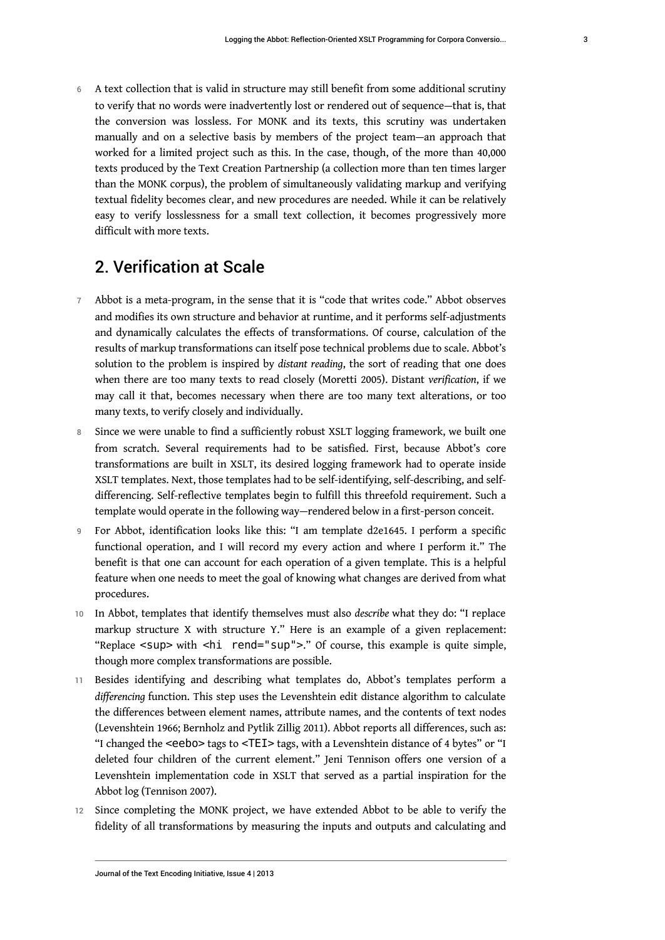6 A text collection that is valid in structure may still benefit from some additional scrutiny to verify that no words were inadvertently lost or rendered out of sequence—that is, that the conversion was lossless. For MONK and its texts, this scrutiny was undertaken manually and on a selective basis by members of the project team—an approach that worked for a limited project such as this. In the case, though, of the more than 40,000 texts produced by the Text Creation Partnership (a collection more than ten times larger than the MONK corpus), the problem of simultaneously validating markup and verifying textual fidelity becomes clear, and new procedures are needed. While it can be relatively easy to verify losslessness for a small text collection, it becomes progressively more difficult with more texts.

## 2. Verification at Scale

- 7 Abbot is a meta-program, in the sense that it is "code that writes code." Abbot observes and modifies its own structure and behavior at runtime, and it performs self-adjustments and dynamically calculates the effects of transformations. Of course, calculation of the results of markup transformations can itself pose technical problems due to scale. Abbot's solution to the problem is inspired by *distant reading*, the sort of reading that one does when there are too many texts to read closely (Moretti 2005). Distant *verification*, if we may call it that, becomes necessary when there are too many text alterations, or too many texts, to verify closely and individually.
- 8 Since we were unable to find a sufficiently robust XSLT logging framework, we built one from scratch. Several requirements had to be satisfied. First, because Abbot's core transformations are built in XSLT, its desired logging framework had to operate inside XSLT templates. Next, those templates had to be self-identifying, self-describing, and selfdifferencing. Self-reflective templates begin to fulfill this threefold requirement. Such a template would operate in the following way—rendered below in a first-person conceit.
- 9 For Abbot, identification looks like this: "I am template d2e1645. I perform a specific functional operation, and I will record my every action and where I perform it." The benefit is that one can account for each operation of a given template. This is a helpful feature when one needs to meet the goal of knowing what changes are derived from what procedures.
- 10 In Abbot, templates that identify themselves must also *describe* what they do: "I replace markup structure X with structure Y." Here is an example of a given replacement: "Replace <sup> with <hi rend="sup">." Of course, this example is quite simple, though more complex transformations are possible.
- 11 Besides identifying and describing what templates do, Abbot's templates perform a *differencing* function. This step uses the Levenshtein edit distance algorithm to calculate the differences between element names, attribute names, and the contents of text nodes (Levenshtein 1966; Bernholz and Pytlik Zillig 2011). Abbot reports all differences, such as: "I changed the <eebo> tags to <TEI> tags, with a Levenshtein distance of 4 bytes" or "I deleted four children of the current element." Jeni Tennison offers one version of a Levenshtein implementation code in XSLT that served as a partial inspiration for the Abbot log (Tennison 2007).
- 12 Since completing the MONK project, we have extended Abbot to be able to verify the fidelity of all transformations by measuring the inputs and outputs and calculating and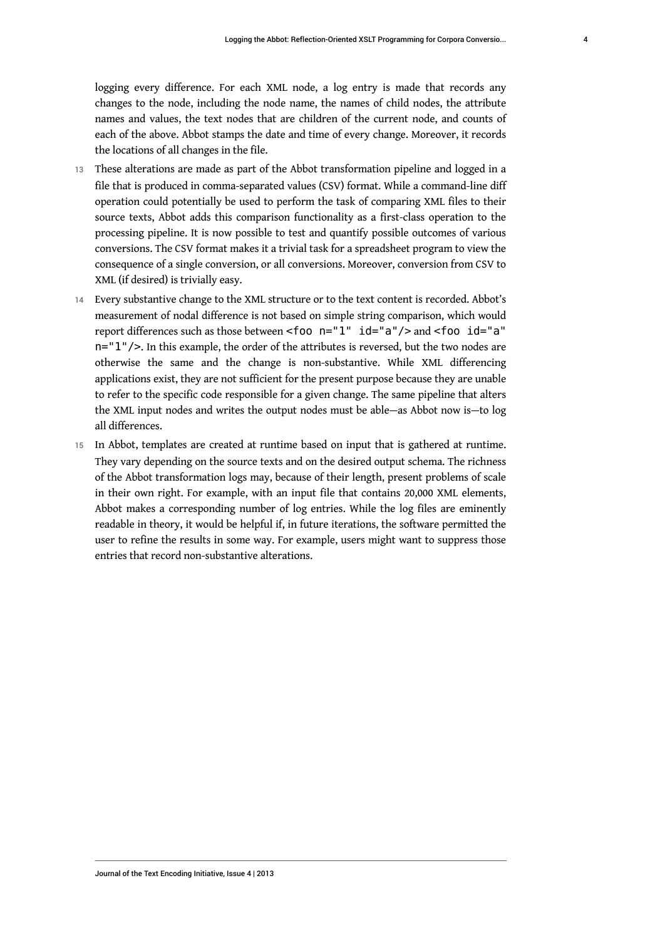logging every difference. For each XML node, a log entry is made that records any changes to the node, including the node name, the names of child nodes, the attribute names and values, the text nodes that are children of the current node, and counts of each of the above. Abbot stamps the date and time of every change. Moreover, it records the locations of all changes in the file.

- 13 These alterations are made as part of the Abbot transformation pipeline and logged in a file that is produced in comma-separated values (CSV) format. While a command-line diff operation could potentially be used to perform the task of comparing XML files to their source texts, Abbot adds this comparison functionality as a first-class operation to the processing pipeline. It is now possible to test and quantify possible outcomes of various conversions. The CSV format makes it a trivial task for a spreadsheet program to view the consequence of a single conversion, or all conversions. Moreover, conversion from CSV to XML (if desired) is trivially easy.
- 14 Every substantive change to the XML structure or to the text content is recorded. Abbot's measurement of nodal difference is not based on simple string comparison, which would report differences such as those between <foo n="1" id="a"/> and <foo id="a" n="1"/>. In this example, the order of the attributes is reversed, but the two nodes are otherwise the same and the change is non-substantive. While XML differencing applications exist, they are not sufficient for the present purpose because they are unable to refer to the specific code responsible for a given change. The same pipeline that alters the XML input nodes and writes the output nodes must be able—as Abbot now is—to log all differences.
- 15 In Abbot, templates are created at runtime based on input that is gathered at runtime. They vary depending on the source texts and on the desired output schema. The richness of the Abbot transformation logs may, because of their length, present problems of scale in their own right. For example, with an input file that contains 20,000 XML elements, Abbot makes a corresponding number of log entries. While the log files are eminently readable in theory, it would be helpful if, in future iterations, the software permitted the user to refine the results in some way. For example, users might want to suppress those entries that record non-substantive alterations.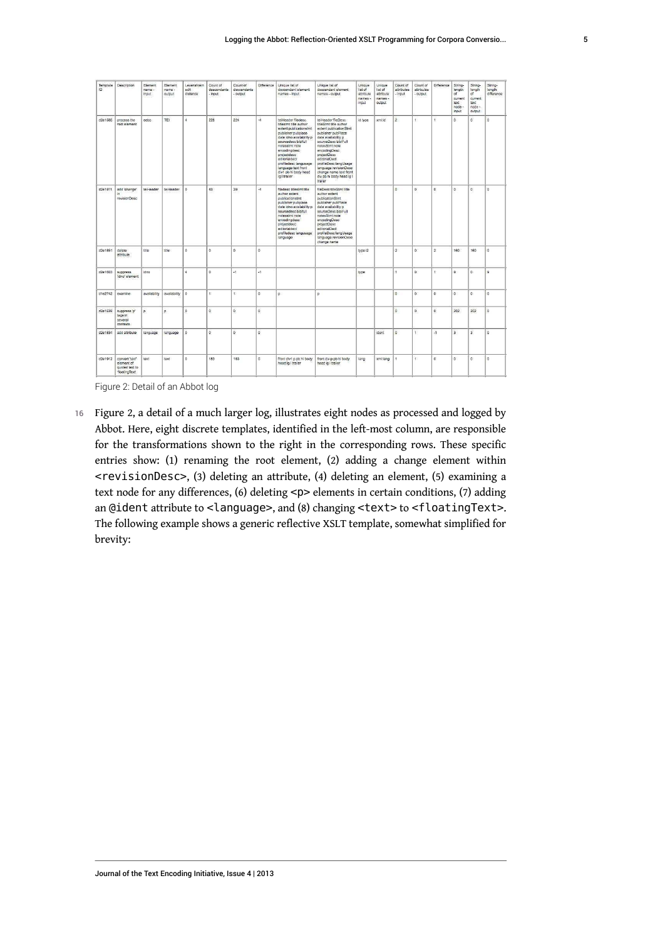| Template<br>$\Omega$ | Description                                                           | Element<br>name -<br>input | Element<br>name -<br>output | Levenshtein<br>adit.<br>distance | Count of<br>descendants<br>- input | Count of<br>descendants<br>output | Difference    | Unique list of<br>descendant element<br>names - input                                                                                                                                                                                                                                                           | Unique list of<br>descendant element<br>names - output                                                                                                                                                                                                                                                                          | Unique<br>list of<br>attribute<br>names -<br>input | Unique<br>list of<br>attribute<br>names -<br>output | Count of<br>attributes<br>- input | Count of<br>attributes<br>- output | Difference     | String-<br>length<br>of<br>current<br>text<br>node -<br>input | String-<br>length<br>of<br>current<br>text<br>node -<br>output | String-<br>length<br>difference |
|----------------------|-----------------------------------------------------------------------|----------------------------|-----------------------------|----------------------------------|------------------------------------|-----------------------------------|---------------|-----------------------------------------------------------------------------------------------------------------------------------------------------------------------------------------------------------------------------------------------------------------------------------------------------------------|---------------------------------------------------------------------------------------------------------------------------------------------------------------------------------------------------------------------------------------------------------------------------------------------------------------------------------|----------------------------------------------------|-----------------------------------------------------|-----------------------------------|------------------------------------|----------------|---------------------------------------------------------------|----------------------------------------------------------------|---------------------------------|
| d2e1585              | process the<br>root element                                           | eebo.                      | TEI                         | $\overline{a}$                   | 228                                | 224                               | $\mathcal{A}$ | teiHeader filedesc<br><b>Stlestmt title author</b><br>extent publicationstmt<br>publisher pubplace<br>date idno availability p<br>sourcedesc bibliuli<br>notesstmt note<br>encodinadesc<br>projectdesc<br>editorialdecl<br>profiledesc langusage<br>language text front<br>div1 pb hi body head<br>lg I trailer | teiHeader fileDesc<br>titleStmt title author<br>extent publicationStmt<br>publisher pubPlace<br>date availability p<br>sourceDesc biblFull<br>notesStmt note<br>encodingDesc<br>projectDesc<br>editorialDecl<br>profileDesc langUsage<br>language revisionDesc<br>change name text front<br>div pb hi body head Ig I<br>trailer | id type                                            | bidmx                                               | $\overline{2}$                    | $\mathbf{r}$                       | $\overline{1}$ | $\alpha$                                                      | $\alpha$                                                       | $\overline{0}$                  |
| d2e1811              | add 'change'<br>$\ln$<br>revisionDesc                                 | teiHeader                  | teiHeader                   | $\alpha$                         | 43                                 | 39                                | 24            | filedesc titlestmt title<br>author extent<br>publicationstmt<br>publisher pubplace<br>date idno availability p<br>sourcedesc biblfull<br>notesstmt note<br>encodingdesc<br>projectdesc<br>editorialdecl<br>profiledesc langusage<br>language                                                                    | fileDesc titleStmt title<br>author extent<br>publicationStmt<br>publisher pubPlace<br>date availability p<br>sourceDesc biblFull<br>notesStmt note<br>encodingDesc<br>projectDesc<br>editorialDecl<br>profileDesc langUsage<br>language revisionDesc<br>change name                                                             |                                                    |                                                     | $\circ$                           | $\alpha$                           | $\Omega$       | $\Omega$                                                      | $\alpha$                                                       | $\alpha$                        |
| d2e1851              | delete<br>attribute                                                   | title                      | title                       | $\alpha$                         | $\alpha$                           | $\alpha$                          | $\Omega$      |                                                                                                                                                                                                                                                                                                                 |                                                                                                                                                                                                                                                                                                                                 | type i2                                            |                                                     | $\overline{2}$                    | $\Omega$                           | $\overline{a}$ | 160                                                           | 160                                                            | $\Omega$                        |
| d2e1603              | suppress<br>dno' element                                              | idno                       |                             | ¥.                               | $\alpha$                           | 2g                                | $\mathbf{H}$  |                                                                                                                                                                                                                                                                                                                 |                                                                                                                                                                                                                                                                                                                                 | type                                               |                                                     |                                   | $\alpha$                           | ł.             | $\mathbf{Q}$                                                  | $\alpha$                                                       | $\Omega$                        |
| d1e2742              | examine                                                               | availability               | availability                | <b>O</b>                         | $\ddot{\phantom{1}}$               | ŧ.                                | $\alpha$      | b.                                                                                                                                                                                                                                                                                                              | b.                                                                                                                                                                                                                                                                                                                              |                                                    |                                                     | $\circ$                           | $\mathbf{0}$                       | $\alpha$       | o                                                             | $\alpha$                                                       | $\Omega$                        |
| d2e1639              | suppress 'p'<br>tags in<br>several<br>contexts:                       | p                          | p                           | $\alpha$                         | $\alpha$                           | $\alpha$                          | $\Omega$      |                                                                                                                                                                                                                                                                                                                 |                                                                                                                                                                                                                                                                                                                                 |                                                    |                                                     | $\alpha$                          | $\Omega$                           | $\alpha$       | 202                                                           | 202                                                            | $\Omega$                        |
| d2e1834              | add attribute                                                         | language                   | language                    | ö                                | $\ddot{\mathbf{0}}$                | $\ddot{\mathbf{0}}$               | $\alpha$      |                                                                                                                                                                                                                                                                                                                 |                                                                                                                                                                                                                                                                                                                                 |                                                    | ident                                               | $\circ$                           | $\overline{1}$                     | й,             | $\overline{\mathbf{3}}$                                       | $\overline{\mathbf{a}}$                                        | $\Omega$                        |
| d2e1912              | convert 'text'<br>element of<br>quoted text to<br><b>floatingText</b> | text                       | text                        | $\Omega$                         | 183                                | 183                               | <b>a</b>      | front div1 p pb hi body<br>head lo I trailer                                                                                                                                                                                                                                                                    | front div p pb hi body<br>head lo I trailer                                                                                                                                                                                                                                                                                     | lang                                               | xml:lang                                            |                                   | $\mathbf{1}$                       | $\alpha$       | $\Omega$                                                      | $\alpha$                                                       | $\mathbf{0}$                    |

Figure 2: Detail of an Abbot log

16 Figure 2, a detail of a much larger log, illustrates eight nodes as processed and logged by Abbot. Here, eight discrete templates, identified in the left-most column, are responsible for the transformations shown to the right in the corresponding rows. These specific entries show: (1) renaming the root element, (2) adding a change element within <revisionDesc>, (3) deleting an attribute, (4) deleting an element, (5) examining a text node for any differences, (6) deleting <p> elements in certain conditions, (7) adding an @ident attribute to <language>, and (8) changing <text> to <floatingText>. The following example shows a generic reflective XSLT template, somewhat simplified for brevity: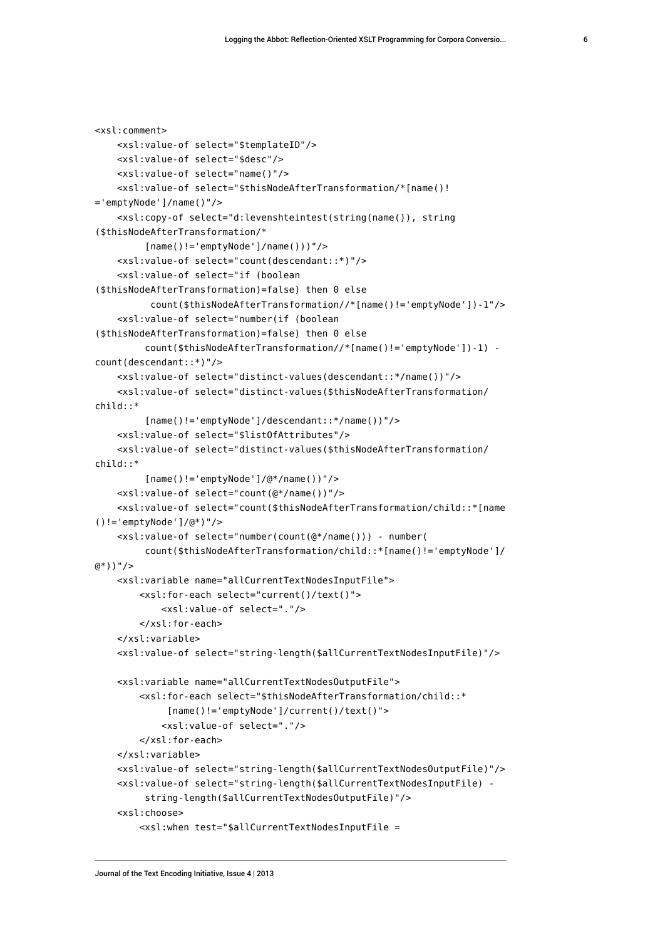```
<xsl:comment>
     <xsl:value-of select="$templateID"/>
     <xsl:value-of select="$desc"/>
     <xsl:value-of select="name()"/>
     <xsl:value-of select="$thisNodeAfterTransformation/*[name()!
='emptyNode']/name()"/>
     <xsl:copy-of select="d:levenshteintest(string(name()), string
($thisNodeAfterTransformation/*
         [name() != 'emptyNode']/name())"/>
     <xsl:value-of select="count(descendant::*)"/>
     <xsl:value-of select="if (boolean
($thisNodeAfterTransformation)=false) then 0 else 
           count($thisNodeAfterTransformation//*[name()!='emptyNode'])-1"/>
     <xsl:value-of select="number(if (boolean
($thisNodeAfterTransformation)=false) then 0 else
          count($thisNodeAfterTransformation//*[name()!='emptyNode'])-1) - 
count(descendant::*)"/>
     <xsl:value-of select="distinct-values(descendant::*/name())"/>
     <xsl:value-of select="distinct-values($thisNodeAfterTransformation/
child::*
          [name()!='emptyNode']/descendant::*/name())"/>
     <xsl:value-of select="$listOfAttributes"/>
     <xsl:value-of select="distinct-values($thisNodeAfterTransformation/
child::*
          [name()!='emptyNode']/@*/name())"/>
     <xsl:value-of select="count(@*/name())"/>
     <xsl:value-of select="count($thisNodeAfterTransformation/child::*[name
()!='emptyNode']/@*)"/>
     <xsl:value-of select="number(count(@*/name())) - number(
          count($thisNodeAfterTransformation/child::*[name()!='emptyNode']/
@*))"/>
     <xsl:variable name="allCurrentTextNodesInputFile">
         <xsl:for-each select="current()/text()">
             <xsl:value-of select="."/>
         </xsl:for-each>
     </xsl:variable>
     <xsl:value-of select="string-length($allCurrentTextNodesInputFile)"/>
     <xsl:variable name="allCurrentTextNodesOutputFile">
         <xsl:for-each select="$thisNodeAfterTransformation/child::*
              [name()!='emptyNode']/current()/text()">
             <xsl:value-of select="."/>
         </xsl:for-each>
     </xsl:variable>
     <xsl:value-of select="string-length($allCurrentTextNodesOutputFile)"/>
     <xsl:value-of select="string-length($allCurrentTextNodesInputFile) - 
          string-length($allCurrentTextNodesOutputFile)"/>
     <xsl:choose>
         <xsl:when test="$allCurrentTextNodesInputFile =
```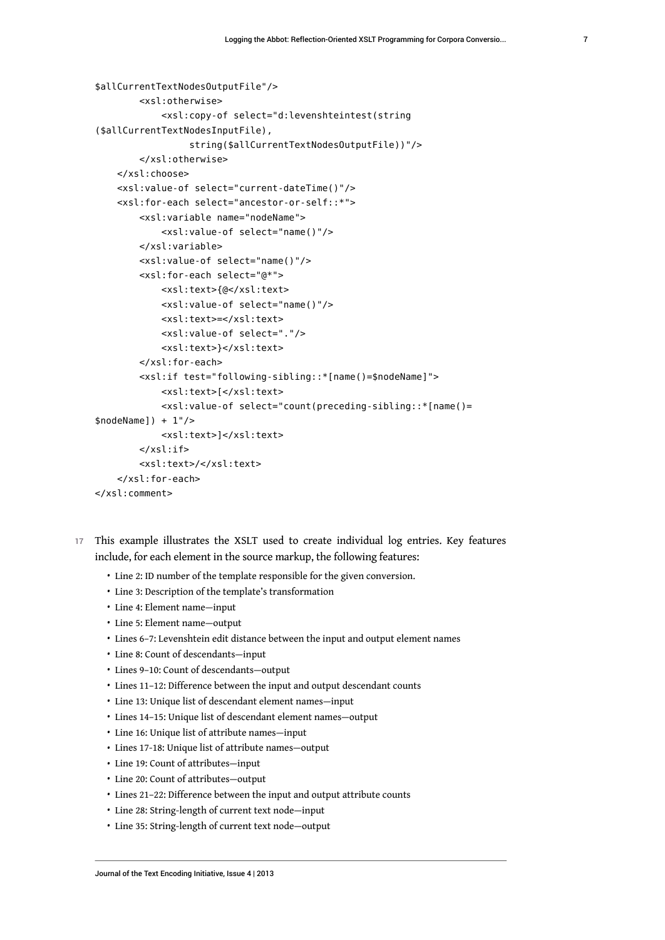```
$allCurrentTextNodesOutputFile"/>
         <xsl:otherwise>
             <xsl:copy-of select="d:levenshteintest(string
($allCurrentTextNodesInputFile),
                  string($allCurrentTextNodesOutputFile))"/>
         </xsl:otherwise>
     </xsl:choose>
     <xsl:value-of select="current-dateTime()"/>
     <xsl:for-each select="ancestor-or-self::*">
         <xsl:variable name="nodeName">
             <xsl:value-of select="name()"/>
         </xsl:variable>
         <xsl:value-of select="name()"/>
         <xsl:for-each select="@*">
             <xsl:text>{@</xsl:text>
             <xsl:value-of select="name()"/>
             <xsl:text>=</xsl:text>
             <xsl:value-of select="."/>
             <xsl:text>}</xsl:text>
         </xsl:for-each>
         <xsl:if test="following-sibling::*[name()=$nodeName]">
             <xsl:text>[</xsl:text>
             <xsl:value-of select="count(preceding-sibling::*[name()=
$nodeName]) + 1'/ <xsl:text>]</xsl:text>
        \langle xsl:if\rangle <xsl:text>/</xsl:text>
     </xsl:for-each>
</xsl:comment>
```
- 17 This example illustrates the XSLT used to create individual log entries. Key features include, for each element in the source markup, the following features:
	- Line 2: ID number of the template responsible for the given conversion.
	- Line 3: Description of the template's transformation
	- Line 4: Element name—input
	- Line 5: Element name—output
	- Lines 6–7: Levenshtein edit distance between the input and output element names
	- Line 8: Count of descendants—input
	- Lines 9–10: Count of descendants—output
	- Lines 11–12: Difference between the input and output descendant counts
	- Line 13: Unique list of descendant element names—input
	- Lines 14–15: Unique list of descendant element names—output
	- Line 16: Unique list of attribute names—input
	- Lines 17-18: Unique list of attribute names—output
	- Line 19: Count of attributes—input
	- Line 20: Count of attributes—output
	- Lines 21–22: Difference between the input and output attribute counts
	- Line 28: String-length of current text node—input
	- Line 35: String-length of current text node—output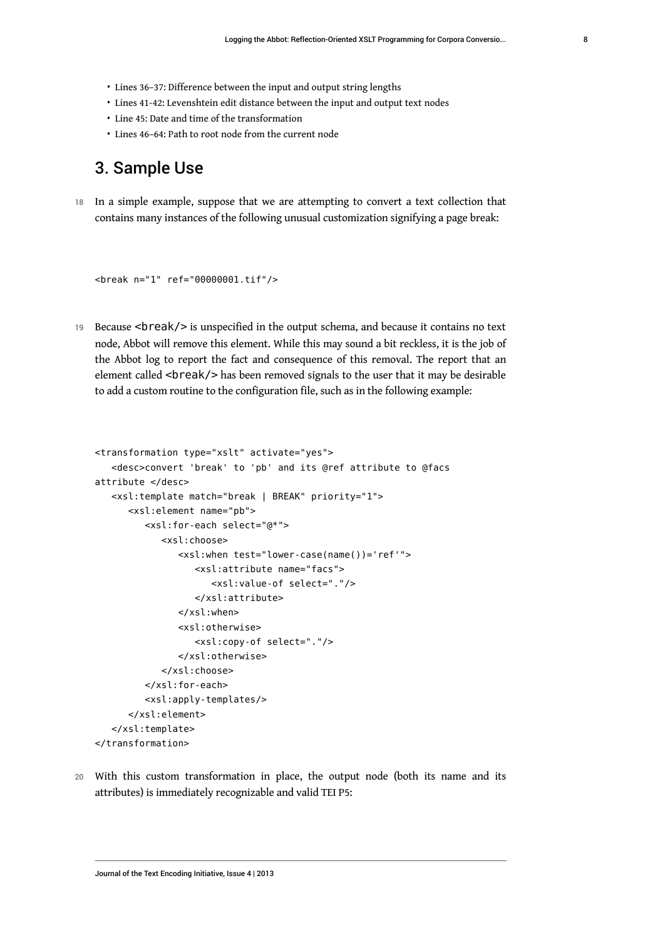- Lines 36–37: Difference between the input and output string lengths
- Lines 41-42: Levenshtein edit distance between the input and output text nodes
- Line 45: Date and time of the transformation
- Lines 46–64: Path to root node from the current node

## 3. Sample Use

18 In a simple example, suppose that we are attempting to convert a text collection that contains many instances of the following unusual customization signifying a page break:

```
<break n="1" ref="00000001.tif"/>
```
19 Because <br />
reak/>
is unspecified in the output schema, and because it contains no text node, Abbot will remove this element. While this may sound a bit reckless, it is the job of the Abbot log to report the fact and consequence of this removal. The report that an element called <br reak/> has been removed signals to the user that it may be desirable to add a custom routine to the configuration file, such as in the following example:

```
<transformation type="xslt" activate="yes">
    <desc>convert 'break' to 'pb' and its @ref attribute to @facs 
attribute </desc>
    <xsl:template match="break | BREAK" priority="1">
       <xsl:element name="pb">
          <xsl:for-each select="@*">
             <xsl:choose>
                <xsl:when test="lower-case(name())='ref'">
                    <xsl:attribute name="facs">
                       <xsl:value-of select="."/>
                    </xsl:attribute>
                </xsl:when>
                <xsl:otherwise>
                    <xsl:copy-of select="."/>
                </xsl:otherwise>
             </xsl:choose>
          </xsl:for-each>
          <xsl:apply-templates/>
       </xsl:element>
    </xsl:template>
</transformation>
```
20 With this custom transformation in place, the output node (both its name and its attributes) is immediately recognizable and valid TEI P5: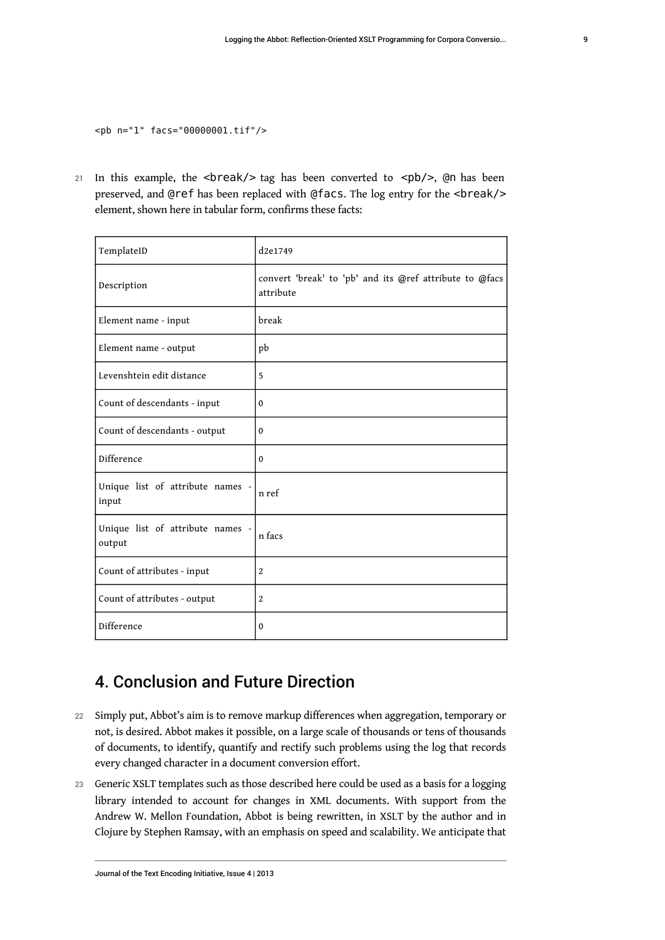<pb n="1" facs="00000001.tif"/>

21 In this example, the <br/> <br/> <br/> <br/> <br/>example as been converted to <pp>><br/>(>>>>>>, @n has been preserved, and @ref has been replaced with @facs. The log entry for the <br/>break/> element, shown here in tabular form, confirms these facts:

| TemplateID                                 | d2e1749                                                              |  |  |  |  |  |  |
|--------------------------------------------|----------------------------------------------------------------------|--|--|--|--|--|--|
| Description                                | convert 'break' to 'pb' and its @ref attribute to @facs<br>attribute |  |  |  |  |  |  |
| Element name - input                       | break                                                                |  |  |  |  |  |  |
| Element name - output                      | pb                                                                   |  |  |  |  |  |  |
| Levenshtein edit distance                  | 5                                                                    |  |  |  |  |  |  |
| Count of descendants - input               | $\mathbf{0}$                                                         |  |  |  |  |  |  |
| Count of descendants - output              | $\mathbf 0$                                                          |  |  |  |  |  |  |
| Difference                                 | 0                                                                    |  |  |  |  |  |  |
| Unique list of attribute names -<br>input  | n ref                                                                |  |  |  |  |  |  |
| Unique list of attribute names -<br>output | n facs                                                               |  |  |  |  |  |  |
| Count of attributes - input                | 2                                                                    |  |  |  |  |  |  |
| Count of attributes - output               | 2                                                                    |  |  |  |  |  |  |
| Difference                                 | $\mathbf 0$                                                          |  |  |  |  |  |  |

# 4. Conclusion and Future Direction

- 22 Simply put, Abbot's aim is to remove markup differences when aggregation, temporary or not, is desired. Abbot makes it possible, on a large scale of thousands or tens of thousands of documents, to identify, quantify and rectify such problems using the log that records every changed character in a document conversion effort.
- 23 Generic XSLT templates such as those described here could be used as a basis for a logging library intended to account for changes in XML documents. With support from the Andrew W. Mellon Foundation, Abbot is being rewritten, in XSLT by the author and in Clojure by Stephen Ramsay, with an emphasis on speed and scalability. We anticipate that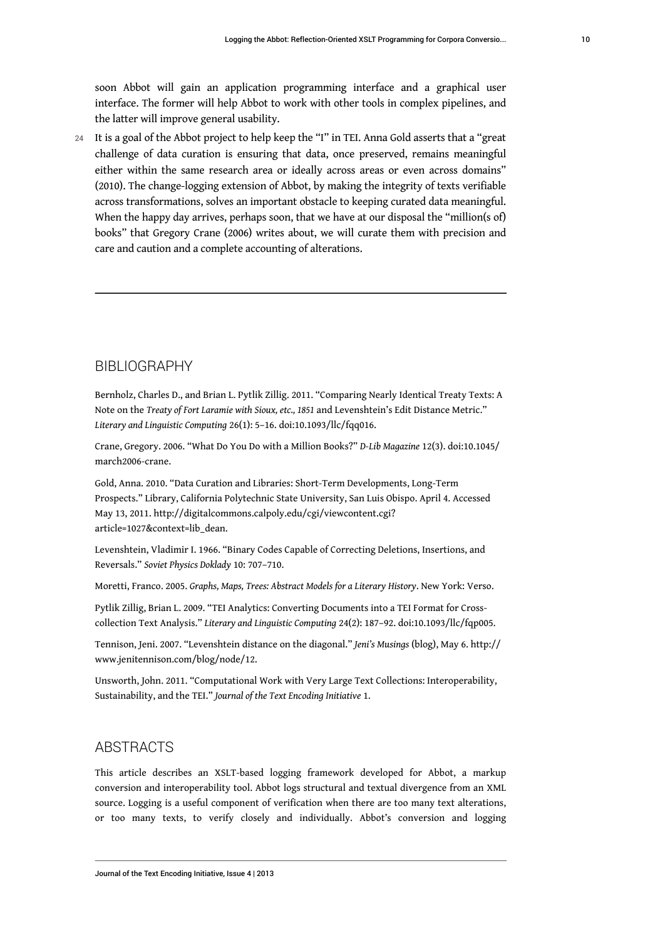soon Abbot will gain an application programming interface and a graphical user interface. The former will help Abbot to work with other tools in complex pipelines, and the latter will improve general usability.

24 It is a goal of the Abbot project to help keep the "I" in TEI. Anna Gold asserts that a "great challenge of data curation is ensuring that data, once preserved, remains meaningful either within the same research area or ideally across areas or even across domains" (2010). The change-logging extension of Abbot, by making the integrity of texts verifiable across transformations, solves an important obstacle to keeping curated data meaningful. When the happy day arrives, perhaps soon, that we have at our disposal the "million(s of) books" that Gregory Crane (2006) writes about, we will curate them with precision and care and caution and a complete accounting of alterations.

#### BIBLIOGRAPHY

Bernholz, Charles D., and Brian L. Pytlik Zillig. 2011. "Comparing Nearly Identical Treaty Texts: A Note on the *Treaty of Fort Laramie with Sioux, etc., 1851* and Levenshtein's Edit Distance Metric." *Literary and Linguistic Computing* 26(1): 5–16. doi:10.1093/llc/fqq016.

Crane, Gregory. 2006. "What Do You Do with a Million Books?" *D-Lib Magazine* 12(3). doi:10.1045/ march2006-crane.

Gold, Anna. 2010. "Data Curation and Libraries: Short-Term Developments, Long-Term Prospects." Library, California Polytechnic State University, San Luis Obispo. April 4. Accessed May 13, 2011. [http://digitalcommons.calpoly.edu/cgi/viewcontent.cgi?](http://digitalcommons.calpoly.edu/cgi/viewcontent.cgi?article=1027&context=lib_dean) [article=1027&context=lib\\_dean.](http://digitalcommons.calpoly.edu/cgi/viewcontent.cgi?article=1027&context=lib_dean)

Levenshtein, Vladimir I. 1966. "Binary Codes Capable of Correcting Deletions, Insertions, and Reversals." *Soviet Physics Doklady* 10: 707–710.

Moretti, Franco. 2005. *Graphs, Maps, Trees: Abstract Models for a Literary History*. New York: Verso.

Pytlik Zillig, Brian L. 2009. "TEI Analytics: Converting Documents into a TEI Format for Crosscollection Text Analysis." *Literary and Linguistic Computing* 24(2): 187–92. doi:10.1093/llc/fqp005.

Tennison, Jeni. 2007. "Levenshtein distance on the diagonal." *Jeni's Musings* (blog), May 6. [http://](http://www.jenitennison.com/blog/node/12) [www.jenitennison.com/blog/node/12](http://www.jenitennison.com/blog/node/12).

Unsworth, John. 2011. "Computational Work with Very Large Text Collections: Interoperability, Sustainability, and the TEI." *Journal of the Text Encoding Initiative* 1.

#### ABSTRACTS

This article describes an XSLT-based logging framework developed for Abbot, a markup conversion and interoperability tool. Abbot logs structural and textual divergence from an XML source. Logging is a useful component of verification when there are too many text alterations, or too many texts, to verify closely and individually. Abbot's conversion and logging